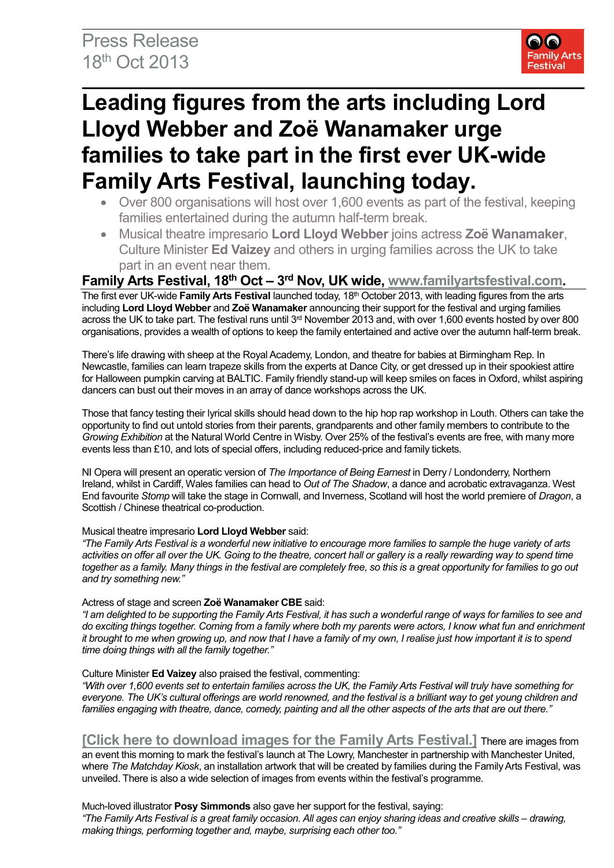

# **Leading figures from the arts including Lord Lloyd Webber and Zoë Wanamaker urge families to take part in the first ever UK-wide Family Arts Festival, launching today.**

- Over 800 organisations will host over 1,600 events as part of the festival, keeping families entertained during the autumn half-term break.
- Musical theatre impresario **Lord Lloyd Webber** joins actress **Zoë Wanamaker**, Culture Minister **Ed Vaizey** and others in urging families across the UK to take part in an event near them.

## Family Arts Festival, 18<sup>th</sup> Oct – 3<sup>rd</sup> Nov, UK wide, [www.familyartsfestival.com.](http://www.familyartsfestival.com/)

The first ever UK-wide **Family Arts Festival** launched today, 18<sup>th</sup> October 2013, with leading figures from the arts including **Lord Lloyd Webber** and **Zoë Wanamaker** announcing their support for the festival and urging families across the UK to take part. The festival runs until 3<sup>rd</sup> November 2013 and, with over 1,600 events hosted by over 800 organisations, provides a wealth of options to keep the family entertained and active over the autumn half-term break.

There's life drawing with sheep at the Royal Academy, London, and theatre for babies at Birmingham Rep. In Newcastle, families can learn trapeze skills from the experts at Dance City, or get dressed up in their spookiest attire for Halloween pumpkin carving at BALTIC. Family friendly stand-up will keep smiles on faces in Oxford, whilst aspiring dancers can bust out their moves in an array of dance workshops across the UK.

Those that fancy testing their lyrical skills should head down to the hip hop rap workshop in Louth. Others can take the opportunity to find out untold stories from their parents, grandparents and other family members to contribute to the *Growing Exhibition* at the Natural World Centre in Wisby. Over 25% of the festival's events are free, with many more events less than £10, and lots of special offers, including reduced-price and family tickets.

NI Opera will present an operatic version of *The Importance of Being Earnest* in Derry / Londonderry, Northern Ireland, whilst in Cardiff, Wales families can head to *Out of The Shadow*, a dance and acrobatic extravaganza. West End favourite *Stomp* will take the stage in Cornwall, and Inverness, Scotland will host the world premiere of *Dragon*, a Scottish / Chinese theatrical co-production.

## Musical theatre impresario **Lord Lloyd Webber** said:

*"The Family Arts Festival is a wonderful new initiative to encourage more families to sample the huge variety of arts*  activities on offer all over the UK. Going to the theatre, concert hall or gallery is a really rewarding way to spend time *together as a family. Many things in the festival are completely free, so this is a great opportunity for families to go out and try something new."*

## Actress of stage and screen **Zoë Wanamaker CBE** said:

*"I am delighted to be supporting the Family Arts Festival, it has such a wonderful range of ways for families to see and do exciting things together. Coming from a family where both my parents were actors, I know what fun and enrichment it brought to me when growing up, and now that I have a family of my own, I realise just how important it is to spend time doing things with all the family together."*

## Culture Minister **Ed Vaizey** also praised the festival, commenting:

*"With over 1,600 events set to entertain families across the UK, the Family Arts Festival will truly have something for everyone. The UK's cultural offerings are world renowned, and the festival is a brilliant way to get young children and families engaging with theatre, dance, comedy, painting and all the other aspects of the arts that are out there."*

**[\[Click here to download images for the Family Arts Festival.\]](https://www.dropbox.com/sh/43lgco10nhdbnzy/isAEtW2jAe)** There are images from

an event this morning to mark the festival's launch at The Lowry, Manchester in partnership with Manchester United, where *The Matchday Kiosk*, an installation artwork that will be created by families during the Family Arts Festival, was unveiled. There is also a wide selection of images from events within the festival's programme.

## Much-loved illustrator **Posy Simmonds** also gave her support for the festival, saying:

*"The Family Arts Festival is a great family occasion. All ages can enjoy sharing ideas and creative skills – drawing, making things, performing together and, maybe, surprising each other too."*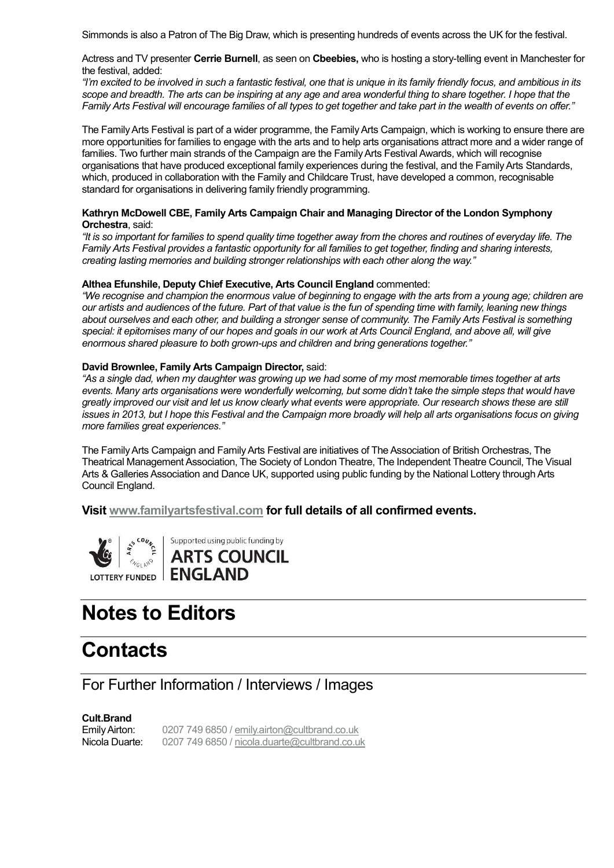Simmonds is also a Patron of The Big Draw, which is presenting hundreds of events across the UK for the festival.

Actress and TV presenter **Cerrie Burnell**, as seen on **Cbeebies,** who is hosting a story-telling event in Manchester for the festival, added:

*"I'm excited to be involved in such a fantastic festival, one that is unique in its family friendly focus, and ambitious in its scope and breadth. The arts can be inspiring at any age and area wonderful thing to share together. I hope that the Family Arts Festival will encourage families of all types to get together and take part in the wealth of events on offer."*

The Family Arts Festival is part of a wider programme, the Family Arts Campaign, which is working to ensure there are more opportunities for families to engage with the arts and to help arts organisations attract more and a wider range of families. Two further main strands of the Campaign are the Family Arts Festival Awards, which will recognise organisations that have produced exceptional family experiences during the festival, and the Family Arts Standards, which, produced in collaboration with the Family and Childcare Trust, have developed a common, recognisable standard for organisations in delivering family friendly programming.

#### **Kathryn McDowell CBE, Family Arts Campaign Chair and Managing Director of the London Symphony Orchestra**, said:

*"It is so important for families to spend quality time together away from the chores and routines of everyday life. The Family Arts Festival provides a fantastic opportunity for all families to get together, finding and sharing interests, creating lasting memories and building stronger relationships with each other along the way."*

## **Althea Efunshile, Deputy Chief Executive, Arts Council England** commented:

*"We recognise and champion the enormous value of beginning to engage with the arts from a young age; children are our artists and audiences of the future. Part of that value is the fun of spending time with family, leaning new things about ourselves and each other, and building a stronger sense of community. The Family Arts Festival is something*  special: it epitomises many of our hopes and goals in our work at Arts Council England, and above all, will give *enormous shared pleasure to both grown-ups and children and bring generations together."*

#### **David Brownlee, Family Arts Campaign Director,** said:

*"As a single dad, when my daughter was growing up we had some of my most memorable times together at arts events. Many arts organisations were wonderfully welcoming, but some didn't take the simple steps that would have greatly improved our visit and let us know clearly what events were appropriate. Our research shows these are still*  issues in 2013, but I hope this Festival and the Campaign more broadly will help all arts organisations focus on giving *more families great experiences."*

The Family Arts Campaign and Family Arts Festival are initiatives of The Association of British Orchestras, The Theatrical Management Association, The Society of London Theatre, The Independent Theatre Council, The Visual Arts & Galleries Association and Dance UK, supported using public funding by the National Lottery through Arts Council England.

## **Visit [www.familyartsfestival.com](http://www.familyartsfestival.com/) for full details of all confirmed events.**



| Supported using public funding by **ARTS COUNCIL** LOTTERY FUNDED | ENGLAND

# **Notes to Editors**

# **Contacts**

## For Further Information / Interviews / Images

## **Cult.Brand**

Emily Airton: 0207 749 6850 [/ emily.airton@cultbrand.co.uk](mailto:emily.airton@cultbrand.co.uk) Nicola Duarte: 0207 749 6850 [/ nicola.duarte@cultbrand.co.uk](mailto:nicola.duarte@cultbrand.co.uk)